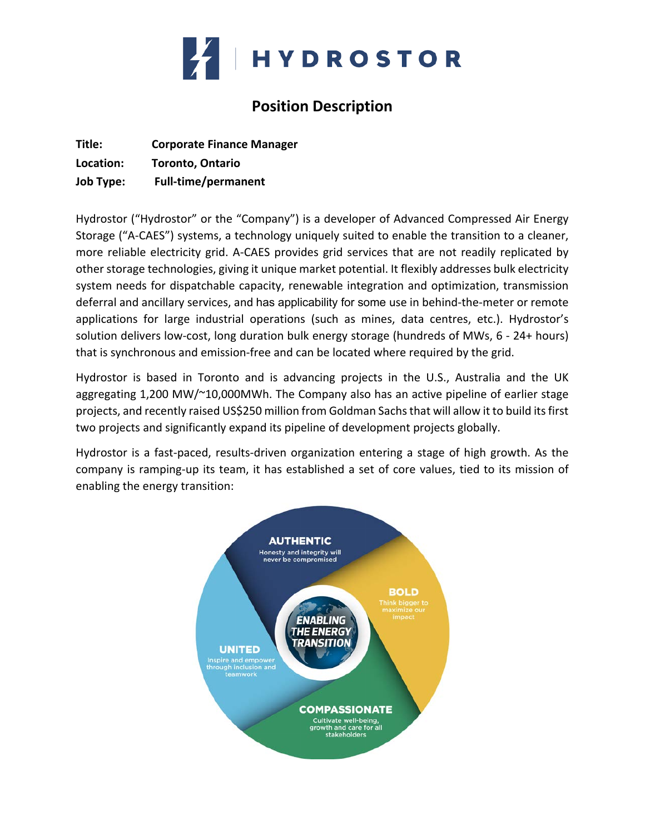

# **Position Description**

| Title:           | <b>Corporate Finance Manager</b> |
|------------------|----------------------------------|
| Location:        | <b>Toronto, Ontario</b>          |
| <b>Job Type:</b> | <b>Full-time/permanent</b>       |

Hydrostor ("Hydrostor" or the "Company") is a developer of Advanced Compressed Air Energy Storage ("A-CAES") systems, a technology uniquely suited to enable the transition to a cleaner, more reliable electricity grid. A-CAES provides grid services that are not readily replicated by other storage technologies, giving it unique market potential. It flexibly addresses bulk electricity system needs for dispatchable capacity, renewable integration and optimization, transmission deferral and ancillary services, and has applicability for some use in behind-the-meter or remote applications for large industrial operations (such as mines, data centres, etc.). Hydrostor's solution delivers low-cost, long duration bulk energy storage (hundreds of MWs, 6 - 24+ hours) that is synchronous and emission-free and can be located where required by the grid.

Hydrostor is based in Toronto and is advancing projects in the U.S., Australia and the UK aggregating 1,200 MW/~10,000MWh. The Company also has an active pipeline of earlier stage projects, and recently raised US\$250 million from Goldman Sachs that will allow it to build its first two projects and significantly expand its pipeline of development projects globally.

Hydrostor is a fast-paced, results-driven organization entering a stage of high growth. As the company is ramping-up its team, it has established a set of core values, tied to its mission of enabling the energy transition:

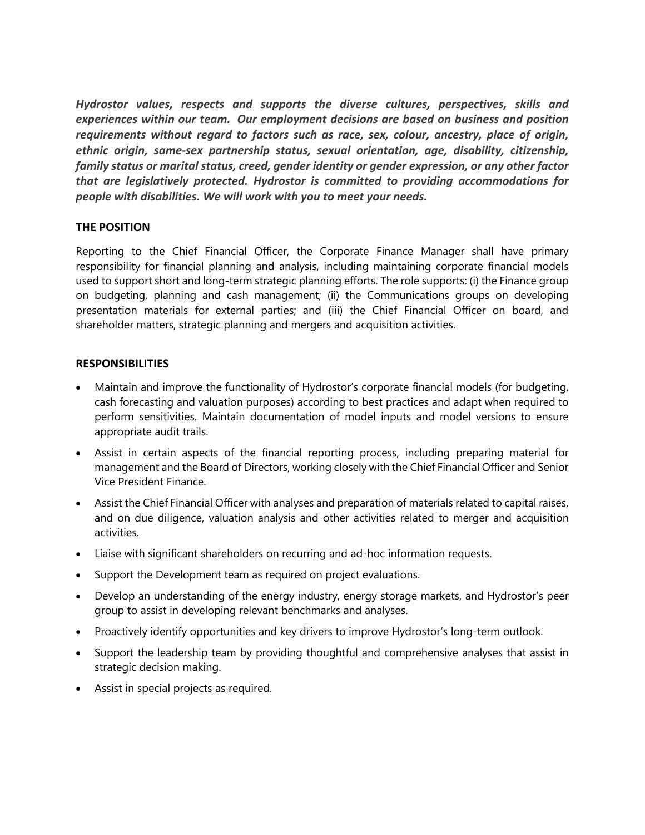*Hydrostor values, respects and supports the diverse cultures, perspectives, skills and experiences within our team. Our employment decisions are based on business and position requirements without regard to factors such as race, sex, colour, ancestry, place of origin, ethnic origin, same-sex partnership status, sexual orientation, age, disability, citizenship, family status or marital status, creed, gender identity or gender expression, or any other factor that are legislatively protected. Hydrostor is committed to providing accommodations for people with disabilities. We will work with you to meet your needs.*

## **THE POSITION**

Reporting to the Chief Financial Officer, the Corporate Finance Manager shall have primary responsibility for financial planning and analysis, including maintaining corporate financial models used to support short and long-term strategic planning efforts. The role supports: (i) the Finance group on budgeting, planning and cash management; (ii) the Communications groups on developing presentation materials for external parties; and (iii) the Chief Financial Officer on board, and shareholder matters, strategic planning and mergers and acquisition activities.

## **RESPONSIBILITIES**

- Maintain and improve the functionality of Hydrostor's corporate financial models (for budgeting, cash forecasting and valuation purposes) according to best practices and adapt when required to perform sensitivities. Maintain documentation of model inputs and model versions to ensure appropriate audit trails.
- Assist in certain aspects of the financial reporting process, including preparing material for management and the Board of Directors, working closely with the Chief Financial Officer and Senior Vice President Finance.
- Assist the Chief Financial Officer with analyses and preparation of materials related to capital raises, and on due diligence, valuation analysis and other activities related to merger and acquisition activities.
- Liaise with significant shareholders on recurring and ad-hoc information requests.
- Support the Development team as required on project evaluations.
- Develop an understanding of the energy industry, energy storage markets, and Hydrostor's peer group to assist in developing relevant benchmarks and analyses.
- Proactively identify opportunities and key drivers to improve Hydrostor's long-term outlook.
- Support the leadership team by providing thoughtful and comprehensive analyses that assist in strategic decision making.
- Assist in special projects as required.